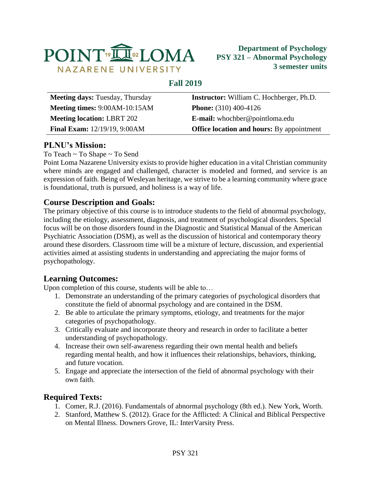

## **Fall 2019**

| <b>Meeting days: Tuesday, Thursday</b> | <b>Instructor:</b> William C. Hochberger, Ph.D.  |  |  |
|----------------------------------------|--------------------------------------------------|--|--|
| Meeting times: 9:00AM-10:15AM          | <b>Phone:</b> $(310)$ 400-4126                   |  |  |
| <b>Meeting location: LBRT 202</b>      | <b>E-mail:</b> whochber@pointloma.edu            |  |  |
| <b>Final Exam:</b> 12/19/19, 9:00AM    | <b>Office location and hours:</b> By appointment |  |  |

# **PLNU's Mission:**

To Teach ~ To Shape ~ To Send

Point Loma Nazarene University exists to provide higher education in a vital Christian community where minds are engaged and challenged, character is modeled and formed, and service is an expression of faith. Being of Wesleyan heritage, we strive to be a learning community where grace is foundational, truth is pursued, and holiness is a way of life.

# **Course Description and Goals:**

The primary objective of this course is to introduce students to the field of abnormal psychology, including the etiology, assessment, diagnosis, and treatment of psychological disorders. Special focus will be on those disorders found in the Diagnostic and Statistical Manual of the American Psychiatric Association (DSM), as well as the discussion of historical and contemporary theory around these disorders. Classroom time will be a mixture of lecture, discussion, and experiential activities aimed at assisting students in understanding and appreciating the major forms of psychopathology.

# **Learning Outcomes:**

Upon completion of this course, students will be able to…

- 1. Demonstrate an understanding of the primary categories of psychological disorders that constitute the field of abnormal psychology and are contained in the DSM.
- 2. Be able to articulate the primary symptoms, etiology, and treatments for the major categories of psychopathology.
- 3. Critically evaluate and incorporate theory and research in order to facilitate a better understanding of psychopathology.
- 4. Increase their own self-awareness regarding their own mental health and beliefs regarding mental health, and how it influences their relationships, behaviors, thinking, and future vocation.
- 5. Engage and appreciate the intersection of the field of abnormal psychology with their own faith.

# **Required Texts:**

- 1. Comer, R.J. (2016). Fundamentals of abnormal psychology (8th ed.). New York, Worth.
- 2. Stanford, Matthew S. (2012). Grace for the Afflicted: A Clinical and Biblical Perspective on Mental Illness. Downers Grove, IL: InterVarsity Press.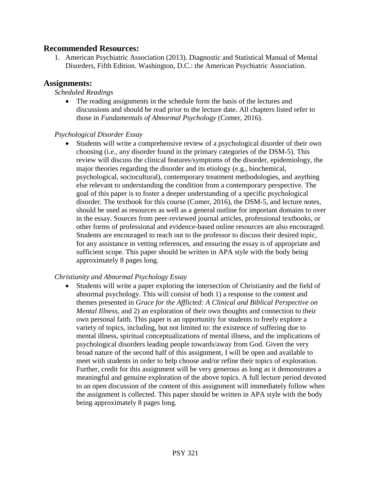### **Recommended Resources:**

1. American Psychiatric Association (2013). Diagnostic and Statistical Manual of Mental Disorders, Fifth Edition. Washington, D.C.: the American Psychiatric Association.

### **Assignments:**

#### *Scheduled Readings*

 The reading assignments in the schedule form the basis of the lectures and discussions and should be read prior to the lecture date. All chapters listed refer to those in *Fundamentals of Abnormal Psychology* (Comer, 2016).

#### *Psychological Disorder Essay*

 Students will write a comprehensive review of a psychological disorder of their own choosing (i.e., any disorder found in the primary categories of the DSM-5). This review will discuss the clinical features/symptoms of the disorder, epidemiology, the major theories regarding the disorder and its etiology (e.g., biochemical, psychological, sociocultural), contemporary treatment methodologies, and anything else relevant to understanding the condition from a contemporary perspective. The goal of this paper is to foster a deeper understanding of a specific psychological disorder. The textbook for this course (Comer, 2016), the DSM-5, and lecture notes, should be used as resources as well as a general outline for important domains to over in the essay. Sources from peer-reviewed journal articles, professional textbooks, or other forms of professional and evidence-based online resources are also encouraged. Students are encouraged to reach out to the professor to discuss their desired topic, for any assistance in vetting references, and ensuring the essay is of appropriate and sufficient scope. This paper should be written in APA style with the body being approximately 8 pages long.

### *Christianity and Abnormal Psychology Essay*

 Students will write a paper exploring the intersection of Christianity and the field of abnormal psychology. This will consist of both 1) a response to the content and themes presented in *Grace for the Afflicted: A Clinical and Biblical Perspective on Mental Illness*, and 2) an exploration of their own thoughts and connection to their own personal faith. This paper is an opportunity for students to freely explore a variety of topics, including, but not limited to: the existence of suffering due to mental illness, spiritual conceptualizations of mental illness, and the implications of psychological disorders leading people towards/away from God. Given the very broad nature of the second half of this assignment, I will be open and available to meet with students in order to help choose and/or refine their topics of exploration. Further, credit for this assignment will be very generous as long as it demonstrates a meaningful and genuine exploration of the above topics. A full lecture period devoted to an open discussion of the content of this assignment will immediately follow when the assignment is collected. This paper should be written in APA style with the body being approximately 8 pages long.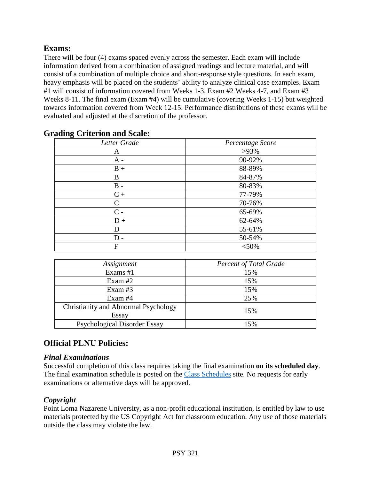# **Exams:**

There will be four (4) exams spaced evenly across the semester. Each exam will include information derived from a combination of assigned readings and lecture material, and will consist of a combination of multiple choice and short-response style questions. In each exam, heavy emphasis will be placed on the students' ability to analyze clinical case examples. Exam #1 will consist of information covered from Weeks 1-3, Exam #2 Weeks 4-7, and Exam #3 Weeks 8-11. The final exam (Exam #4) will be cumulative (covering Weeks 1-15) but weighted towards information covered from Week 12-15. Performance distributions of these exams will be evaluated and adjusted at the discretion of the professor.

| Letter Grade | Percentage Score |  |
|--------------|------------------|--|
| A            | $>93\%$          |  |
| $A -$        | 90-92%           |  |
| $B +$        | 88-89%           |  |
| B            | 84-87%           |  |
| $B -$        | 80-83%           |  |
| $C +$        | 77-79%           |  |
| $\mathsf{C}$ | 70-76%           |  |
| $C -$        | 65-69%           |  |
| $D +$        | 62-64%           |  |
| D            | 55-61%           |  |
| $D -$        | 50-54%           |  |
| F            | $<$ 50%          |  |

### **Grading Criterion and Scale:**

| Assignment                           | <b>Percent of Total Grade</b> |  |  |
|--------------------------------------|-------------------------------|--|--|
| Exams #1                             | 15%                           |  |  |
| Exam $#2$                            | 15%                           |  |  |
| Exam $#3$                            | 15%                           |  |  |
| Exam $#4$                            | 25%                           |  |  |
| Christianity and Abnormal Psychology | 15%                           |  |  |
| Essay                                |                               |  |  |
| <b>Psychological Disorder Essay</b>  | 15%                           |  |  |

# **Official PLNU Policies:**

## *Final Examinations*

Successful completion of this class requires taking the final examination **on its scheduled day**. The final examination schedule is posted on the [Class Schedules](http://www.pointloma.edu/experience/academics/class-schedules) site. No requests for early examinations or alternative days will be approved.

## *Copyright*

Point Loma Nazarene University, as a non-profit educational institution, is entitled by law to use materials protected by the US Copyright Act for classroom education. Any use of those materials outside the class may violate the law.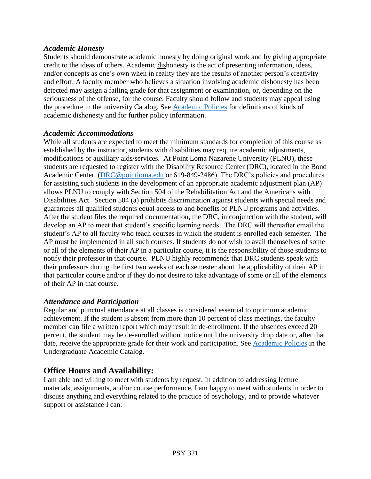### *Academic Honesty*

Students should demonstrate academic honesty by doing original work and by giving appropriate credit to the ideas of others. Academic dishonesty is the act of presenting information, ideas, and/or concepts as one's own when in reality they are the results of another person's creativity and effort. A faculty member who believes a situation involving academic dishonesty has been detected may assign a failing grade for that assignment or examination, or, depending on the seriousness of the offense, for the course. Faculty should follow and students may appeal using the procedure in the university Catalog. See [Academic Policies](http://catalog.pointloma.edu/content.php?catoid=18&navoid=1278) for definitions of kinds of academic dishonesty and for further policy information.

### *Academic Accommodations*

While all students are expected to meet the minimum standards for completion of this course as established by the instructor, students with disabilities may require academic adjustments, modifications or auxiliary aids/services. At Point Loma Nazarene University (PLNU), these students are requested to register with the Disability Resource Center (DRC), located in the Bond Academic Center. [\(DRC@pointloma.edu](mailto:DRC@pointloma.edu) or 619-849-2486). The DRC's policies and procedures for assisting such students in the development of an appropriate academic adjustment plan (AP) allows PLNU to comply with Section 504 of the Rehabilitation Act and the Americans with Disabilities Act. Section 504 (a) prohibits discrimination against students with special needs and guarantees all qualified students equal access to and benefits of PLNU programs and activities. After the student files the required documentation, the DRC, in conjunction with the student, will develop an AP to meet that student's specific learning needs. The DRC will thereafter email the student's AP to all faculty who teach courses in which the student is enrolled each semester. The AP must be implemented in all such courses. If students do not wish to avail themselves of some or all of the elements of their AP in a particular course, it is the responsibility of those students to notify their professor in that course. PLNU highly recommends that DRC students speak with their professors during the first two weeks of each semester about the applicability of their AP in that particular course and/or if they do not desire to take advantage of some or all of the elements of their AP in that course.

## *Attendance and Participation*

Regular and punctual attendance at all classes is considered essential to optimum academic achievement. If the student is absent from more than 10 percent of class meetings, the faculty member can file a written report which may result in de-enrollment. If the absences exceed 20 percent, the student may be de-enrolled without notice until the university drop date or, after that date, receive the appropriate grade for their work and participation. See [Academic Policies](http://catalog.pointloma.edu/content.php?catoid=18&navoid=1278) in the Undergraduate Academic Catalog.

# **Office Hours and Availability:**

I am able and willing to meet with students by request. In addition to addressing lecture materials, assignments, and/or course performance, I am happy to meet with students in order to discuss anything and everything related to the practice of psychology, and to provide whatever support or assistance I can.